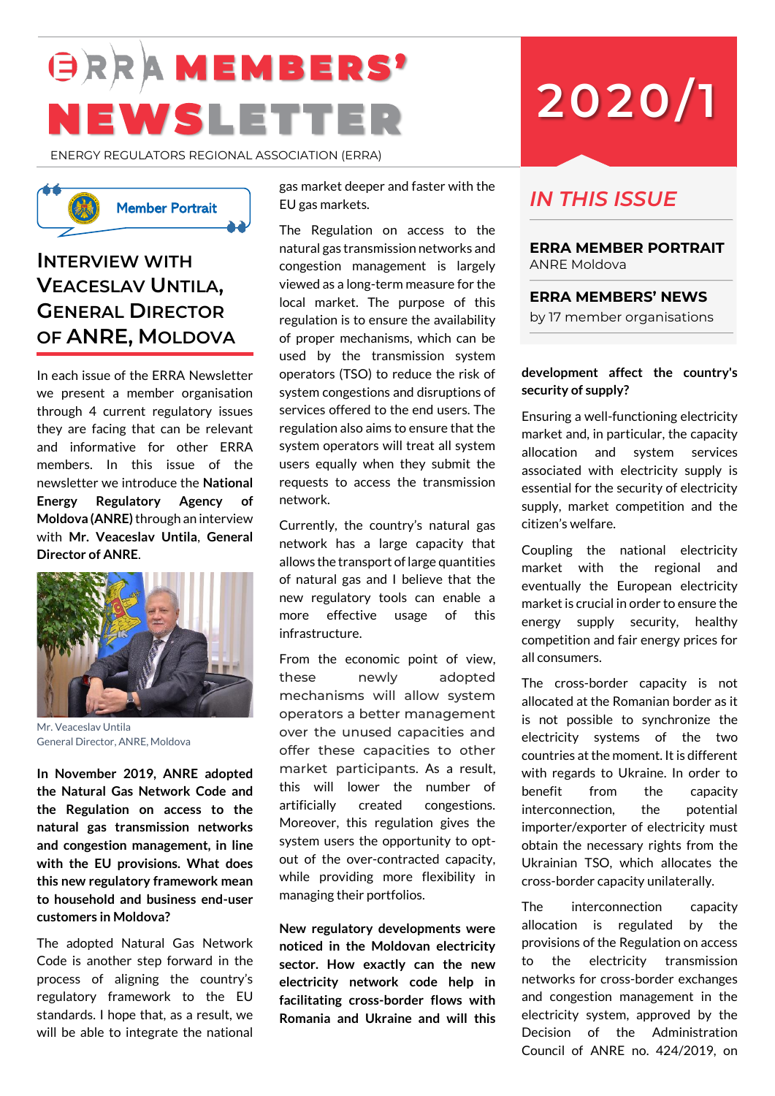# **GRRAMEMBERS'** NEWSLETTER

ENERGY REGULATORS REGIONAL ASSOCIATION (ERRA)



# **INTERVIEW WITH VEACESLAV UNTILA, GENERAL DIRECTOR OF ANRE, MOLDOVA**

In each issue of the ERRA Newsletter we present a member organisation through 4 current regulatory issues they are facing that can be relevant and informative for other ERRA members. In this issue of the newsletter we introduce the **National Energy Regulatory Agency of Moldova (ANRE)**through an interview with **Mr. Veaceslav Untila**, **General Director of ANRE**.



Mr. Veaceslav Untila General Director, ANRE, Moldova

**In November 2019, ANRE adopted the Natural Gas Network Code and the Regulation on access to the natural gas transmission networks and congestion management, in line with the EU provisions. What does this new regulatory framework mean to household and business end-user customers in Moldova?**

The adopted Natural Gas Network Code is another step forward in the process of aligning the country's regulatory framework to the EU standards. I hope that, as a result, we will be able to integrate the national gas market deeper and faster with the EU gas markets.

The Regulation on access to the natural gas transmission networks and congestion management is largely viewed as a long-term measure for the local market. The purpose of this regulation is to ensure the availability of proper mechanisms, which can be used by the transmission system operators (TSO) to reduce the risk of system congestions and disruptions of services offered to the end users. The regulation also aims to ensure that the system operators will treat all system users equally when they submit the requests to access the transmission network. Neumber Portrait and the mass of the mass of the mass of the mass of the mass of the council of the mass of the mass of the council of the mass of the council of the mass of the Council of the mass of the Council of the m

Currently, the country's natural gas network has a large capacity that allows the transport of large quantities of natural gas and I believe that the new regulatory tools can enable a more effective usage of this infrastructure.

From the economic point of view, these newly adopted mechanisms will allow system operators a better management over the unused capacities and offer these capacities to other market participants. As a result, this will lower the number of artificially created congestions. Moreover, this regulation gives the system users the opportunity to optout of the over-contracted capacity, while providing more flexibility in managing their portfolios.

**New regulatory developments were noticed in the Moldovan electricity sector. How exactly can the new electricity network code help in facilitating cross-border flows with Romania and Ukraine and will this** 

# **2020/1**

# *IN THIS ISSUE*

**ERRA MEMBER PORTRAIT**  ANRE Moldova

**ERRA MEMBERS' NEWS** by 17 member organisations

# **development affect the country's security of supply?**

Ensuring a well-functioning electricity market and, in particular, the capacity allocation and system services associated with electricity supply is essential for the security of electricity supply, market competition and the citizen's welfare.

Coupling the national electricity market with the regional and eventually the European electricity market is crucial in order to ensure the energy supply security, healthy competition and fair energy prices for all consumers.

The cross-border capacity is not allocated at the Romanian border as it is not possible to synchronize the electricity systems of the two countries at the moment. It is different with regards to Ukraine. In order to benefit from the capacity interconnection, the potential importer/exporter of electricity must obtain the necessary rights from the Ukrainian TSO, which allocates the cross-border capacity unilaterally.

The interconnection capacity allocation is regulated by the provisions of the Regulation on access to the electricity transmission networks for cross-border exchanges and congestion management in the electricity system, approved by the Decision of the Administration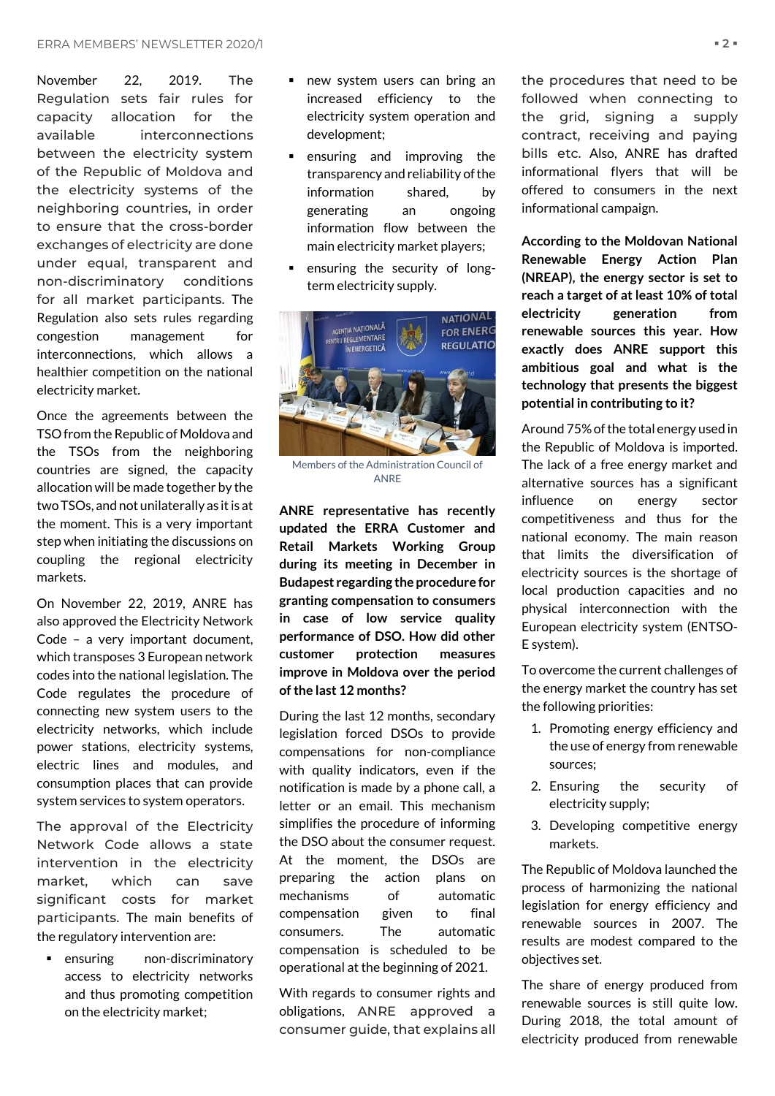November 22, 2019. The Regulation sets fair rules for capacity allocation for the available interconnections between the electricity system of the Republic of Moldova and the electricity systems of the neighboring countries, in order to ensure that the cross-border exchanges of electricity are done under equal, transparent and non-discriminatory conditions for all market participants. The Regulation also sets rules regarding congestion management for interconnections, which allows a healthier competition on the national electricity market.

Once the agreements between the TSO from the Republic of Moldova and the TSOs from the neighboring countries are signed, the capacity allocation will be made together by the two TSOs, and not unilaterally as it is at the moment. This is a very important step when initiating the discussions on coupling the regional electricity markets.

On November 22, 2019, ANRE has also approved the Electricity Network Code – a very important document, which transposes 3 European network codes into the national legislation. The Code regulates the procedure of connecting new system users to the electricity networks, which include power stations, electricity systems, electric lines and modules, and consumption places that can provide system services to system operators.

The approval of the Electricity Network Code allows a state intervention in the electricity market, which can save significant costs for market participants. The main benefits of the regulatory intervention are:

■ ensuring non-discriminatory access to electricity networks and thus promoting competition on the electricity market;

- new system users can bring an increased efficiency to the electricity system operation and development;
- ensuring and improving the transparency and reliability of the information shared, by generating an ongoing information flow between the main electricity market players;
- ensuring the security of longterm electricity supply.



Members of the Administration Council of ANRE

**ANRE representative has recently updated the ERRA Customer and Retail Markets Working Group during its meeting in December in Budapest regarding the procedure for granting compensation to consumers in case of low service quality performance of DSO. How did other customer protection measures improve in Moldova over the period of the last 12 months?**

During the last 12 months, secondary legislation forced DSOs to provide compensations for non-compliance with quality indicators, even if the notification is made by a phone call, a letter or an email. This mechanism simplifies the procedure of informing the DSO about the consumer request. At the moment, the DSOs are preparing the action plans on mechanisms of automatic compensation given to final consumers. The automatic compensation is scheduled to be operational at the beginning of 2021.

With regards to consumer rights and obligations, ANRE approved a consumer guide, that explains all

the procedures that need to be followed when connecting to the grid, signing a supply contract, receiving and paying bills etc. Also, ANRE has drafted informational flyers that will be offered to consumers in the next informational campaign.

**According to the Moldovan National Renewable Energy Action Plan (NREAP), the energy sector is set to reach a target of at least 10% of total electricity generation from renewable sources this year. How exactly does ANRE support this ambitious goal and what is the technology that presents the biggest potential in contributing to it?**

Around 75% of the total energy used in the Republic of Moldova is imported. The lack of a free energy market and alternative sources has a significant influence on energy sector competitiveness and thus for the national economy. The main reason that limits the diversification of electricity sources is the shortage of local production capacities and no physical interconnection with the European electricity system (ENTSO-E system).

To overcome the current challenges of the energy market the country has set the following priorities:

- 1. Promoting energy efficiency and the use of energy from renewable sources;
- 2. Ensuring the security of electricity supply;
- 3. Developing competitive energy markets.

The Republic of Moldova launched the process of harmonizing the national legislation for energy efficiency and renewable sources in 2007. The results are modest compared to the objectives set.

The share of energy produced from renewable sources is still quite low. During 2018, the total amount of electricity produced from renewable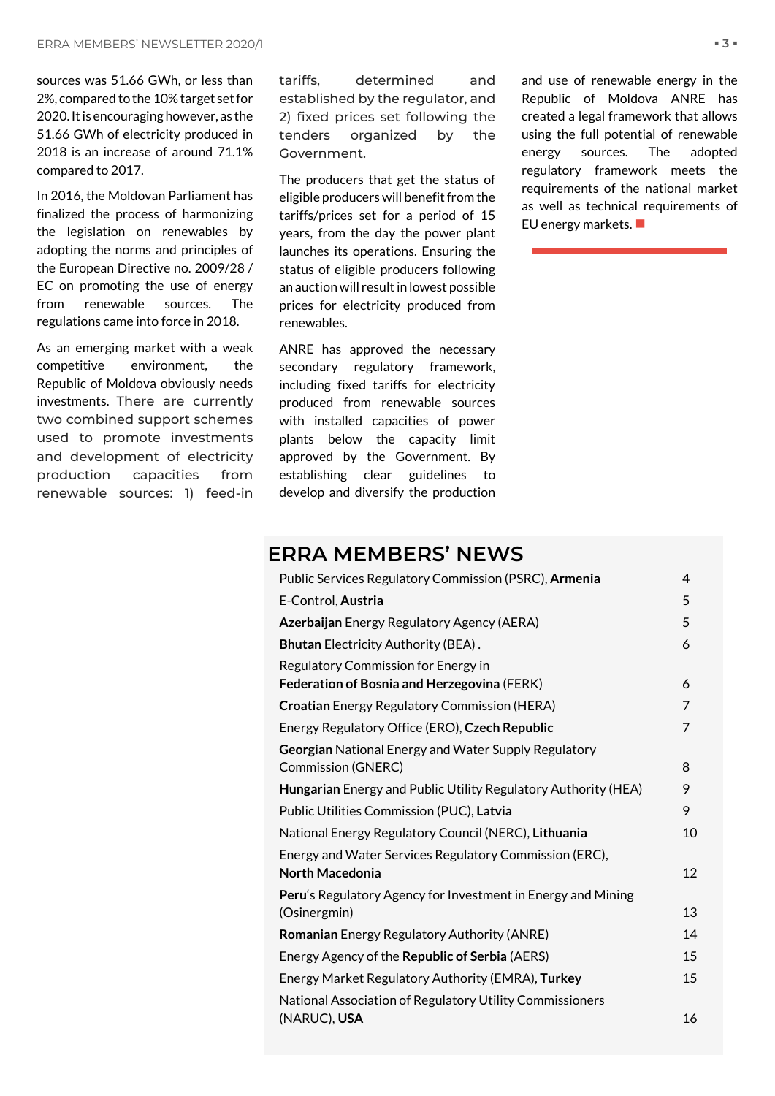sources was 51.66 GWh, or less than 2%, compared to the 10% target set for 2020. It is encouraging however, as the 51.66 GWh of electricity produced in 2018 is an increase of around 71.1% compared to 2017.

In 2016, the Moldovan Parliament has finalized the process of harmonizing the legislation on renewables by adopting the norms and principles of the European Directive no. 2009/28 / EC on promoting the use of energy from renewable sources. The regulations came into force in 2018.

As an emerging market with a weak competitive environment, the Republic of Moldova obviously needs investments. There are currently two combined support schemes used to promote investments and development of electricity production capacities from renewable sources: 1) feed-in tariffs, determined and established by the regulator, and 2) fixed prices set following the tenders organized by the Government.

The producers that get the status of eligible producers will benefit from the tariffs/prices set for a period of 15 years, from the day the power plant launches its operations. Ensuring the status of eligible producers following an auction will result in lowest possible prices for electricity produced from renewables.

ANRE has approved the necessary secondary regulatory framework, including fixed tariffs for electricity produced from renewable sources with installed capacities of power plants below the capacity limit approved by the Government. By establishing clear guidelines to develop and diversify the production

and use of renewable energy in the Republic of Moldova ANRE has created a legal framework that allows using the full potential of renewable energy sources. The adopted regulatory framework meets the requirements of the national market as well as technical requirements of EU energy markets. ■

# **ERRA MEMBERS' NEWS**

| Public Services Regulatory Commission (PSRC), Armenia          |    |  |
|----------------------------------------------------------------|----|--|
| E-Control, Austria                                             | 5  |  |
| Azerbaijan Energy Regulatory Agency (AERA)                     | 5  |  |
| <b>Bhutan Electricity Authority (BEA).</b>                     | 6  |  |
| Regulatory Commission for Energy in                            |    |  |
| Federation of Bosnia and Herzegovina (FERK)                    | 6  |  |
| <b>Croatian</b> Energy Regulatory Commission (HERA)            | 7  |  |
| Energy Regulatory Office (ERO), Czech Republic                 | 7  |  |
| Georgian National Energy and Water Supply Regulatory           |    |  |
| <b>Commission (GNERC)</b>                                      | 8  |  |
| Hungarian Energy and Public Utility Regulatory Authority (HEA) | 9  |  |
| Public Utilities Commission (PUC), Latvia                      | 9  |  |
| National Energy Regulatory Council (NERC), Lithuania           | 10 |  |
| Energy and Water Services Regulatory Commission (ERC),         |    |  |
| <b>North Macedonia</b>                                         | 12 |  |
| Peru's Regulatory Agency for Investment in Energy and Mining   |    |  |
| (Osinergmin)                                                   | 13 |  |
| Romanian Energy Regulatory Authority (ANRE)                    | 14 |  |
| Energy Agency of the Republic of Serbia (AERS)                 | 15 |  |
| Energy Market Regulatory Authority (EMRA), Turkey              | 15 |  |
| National Association of Regulatory Utility Commissioners       |    |  |
| (NARUC), USA                                                   | 16 |  |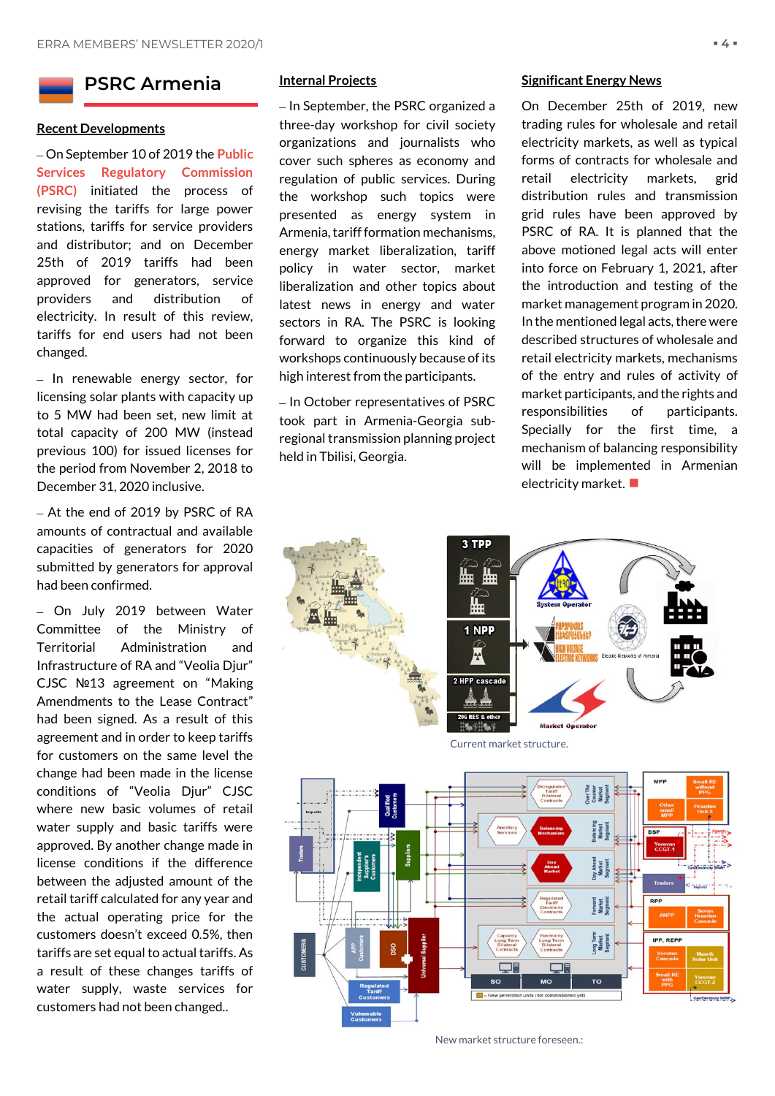# <span id="page-3-0"></span>**PSRC Armenia**

## **Recent Developments**

– On September 10 of 2019 the **Public Services Regulatory Commission (PSRC)** initiated the process of revising the tariffs for large power stations, tariffs for service providers and distributor; and on December 25th of 2019 tariffs had been approved for generators, service providers and distribution of electricity. In result of this review, tariffs for end users had not been changed.

– In renewable energy sector, for licensing solar plants with capacity up to 5 MW had been set, new limit at total capacity of 200 MW (instead previous 100) for issued licenses for the period from November 2, 2018 to December 31, 2020 inclusive.

– At the end of 2019 by PSRC of RA amounts of contractual and available capacities of generators for 2020 submitted by generators for approval had been confirmed.

– On July 2019 between Water Committee of the Ministry of Territorial Administration and Infrastructure of RA and "Veolia Djur" CJSC №13 agreement on "Making Amendments to the Lease Contract" had been signed. As a result of this agreement and in order to keep tariffs for customers on the same level the change had been made in the license conditions of "Veolia Djur" CJSC where new basic volumes of retail water supply and basic tariffs were approved. By another change made in license conditions if the difference between the adjusted amount of the retail tariff calculated for any year and the actual operating price for the customers doesn't exceed 0.5%, then tariffs are set equal to actual tariffs. As a result of these changes tariffs of water supply, waste services for customers had not been changed..

# **Internal Projects**

– In September, the PSRC organized a three-day workshop for civil society organizations and journalists who cover such spheres as economy and regulation of public services. During the workshop such topics were presented as energy system in Armenia, tariff formation mechanisms, energy market liberalization, tariff policy in water sector, market liberalization and other topics about latest news in energy and water sectors in RA. The PSRC is looking forward to organize this kind of workshops continuously because of its high interest from the participants.

– In October representatives of PSRC took part in Armenia-Georgia subregional transmission planning project held in Tbilisi, Georgia.

# **Significant Energy News**

On December 25th of 2019, new trading rules for wholesale and retail electricity markets, as well as typical forms of contracts for wholesale and retail electricity markets, grid distribution rules and transmission grid rules have been approved by PSRC of RA. It is planned that the above motioned legal acts will enter into force on February 1, 2021, after the introduction and testing of the market management program in 2020. In the mentioned legal acts, there were described structures of wholesale and retail electricity markets, mechanisms of the entry and rules of activity of market participants, and the rights and responsibilities of participants. Specially for the first time, a mechanism of balancing responsibility will be implemented in Armenian electricity market.  $\blacksquare$ 



New market structure foreseen.: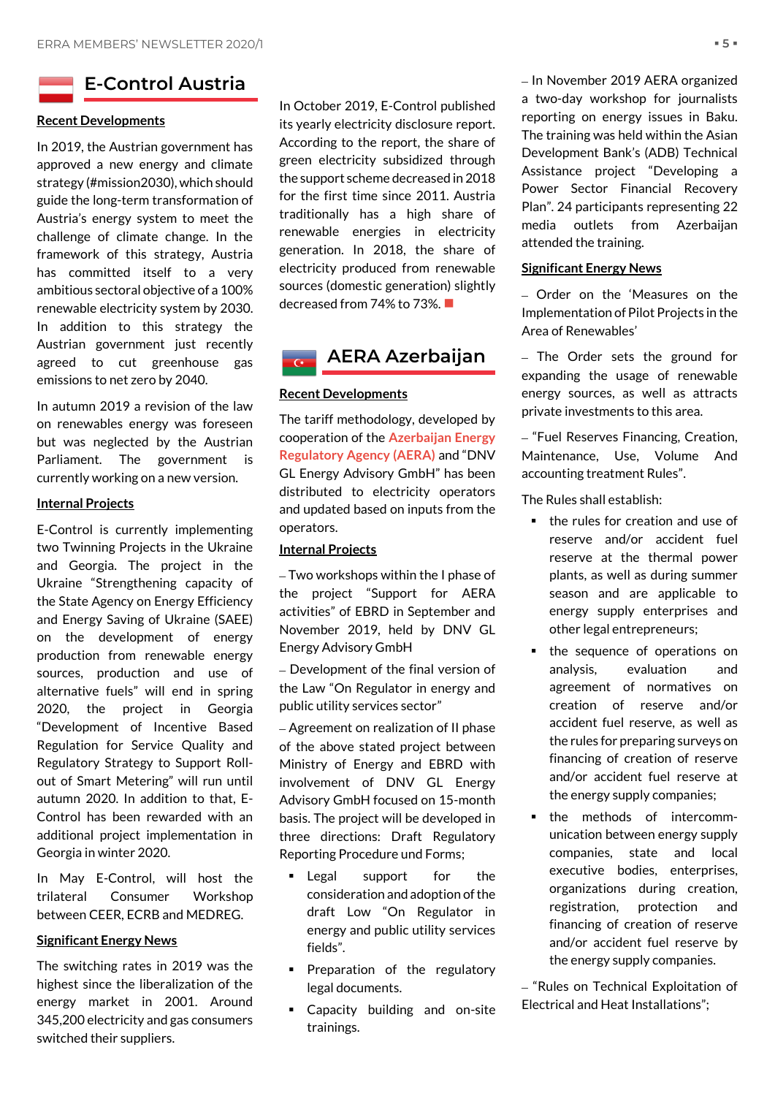# <span id="page-4-0"></span>**E-Control Austria**

# **Recent Developments**

In 2019, the Austrian government has approved a new energy and climate strategy (#mission2030), which should guide the long-term transformation of Austria's energy system to meet the challenge of climate change. In the framework of this strategy, Austria has committed itself to a very ambitious sectoral objective of a 100% renewable electricity system by 2030. In addition to this strategy the Austrian government just recently agreed to cut greenhouse gas emissions to net zero by 2040.

In autumn 2019 a revision of the law on renewables energy was foreseen but was neglected by the Austrian Parliament. The government is currently working on a new version.

# **Internal Projects**

E-Control is currently implementing two Twinning Projects in the Ukraine and Georgia. The project in the Ukraine "Strengthening capacity of the State Agency on Energy Efficiency and Energy Saving of Ukraine (SAEE) on the development of energy production from renewable energy sources, production and use of alternative fuels" will end in spring 2020, the project in Georgia "Development of Incentive Based Regulation for Service Quality and Regulatory Strategy to Support Rollout of Smart Metering" will run until autumn 2020. In addition to that, E-Control has been rewarded with an additional project implementation in Georgia in winter 2020.

In May E-Control, will host the trilateral Consumer Workshop between CEER, ECRB and MEDREG.

# **Significant Energy News**

The switching rates in 2019 was the highest since the liberalization of the energy market in 2001. Around 345,200 electricity and gas consumers switched their suppliers.

In October 2019, E-Control published its yearly electricity disclosure report. According to the report, the share of green electricity subsidized through the support scheme decreased in 2018 for the first time since 2011. Austria traditionally has a high share of renewable energies in electricity generation. In 2018, the share of electricity produced from renewable sources (domestic generation) slightly decreased from 74% to 73%.

<span id="page-4-1"></span>

# **Recent Developments**

The tariff methodology, developed by cooperation of the **Azerbaijan Energy Regulatory Agency (AERA)** and "DNV GL Energy Advisory GmbH" has been distributed to electricity operators and updated based on inputs from the operators.

# **Internal Projects**

– Two workshops within the I phase of the project "Support for AERA activities" of EBRD in September and November 2019, held by DNV GL Energy Advisory GmbH

– Development of the final version of the Law "On Regulator in energy and public utility services sector"

– Agreement on realization of II phase of the above stated project between Ministry of Energy and EBRD with involvement of DNV GL Energy Advisory GmbH focused on 15-month basis. The project will be developed in three directions: Draft Regulatory Reporting Procedure und Forms;

- **Example 1** Legal support for the consideration and adoption of the draft Low "On Regulator in energy and public utility services fields".
- **•** Preparation of the regulatory legal documents.
- **EXECA** Capacity building and on-site trainings.

– In November 2019 AERA organized a two-day workshop for journalists reporting on energy issues in Baku. The training was held within the Asian Development Bank's (ADB) Technical Assistance project "Developing a Power Sector Financial Recovery Plan". 24 participants representing 22 media outlets from Azerbaijan attended the training.

# **Significant Energy News**

– Order on the 'Measures on the Implementation of Pilot Projects in the Area of Renewables'

– The Order sets the ground for expanding the usage of renewable energy sources, as well as attracts private investments to this area.

– "Fuel Reserves Financing, Creation, Maintenance, Use, Volume And accounting treatment Rules".

The Rules shall establish:

- the rules for creation and use of reserve and/or accident fuel reserve at the thermal power plants, as well as during summer season and are applicable to energy supply enterprises and other legal entrepreneurs;
- the sequence of operations on analysis, evaluation and agreement of normatives on creation of reserve and/or accident fuel reserve, as well as the rules for preparing surveys on financing of creation of reserve and/or accident fuel reserve at the energy supply companies;
- the methods of intercommunication between energy supply companies, state and local executive bodies, enterprises, organizations during creation, registration, protection and financing of creation of reserve and/or accident fuel reserve by the energy supply companies.

– "Rules on Technical Exploitation of Electrical and Heat Installations";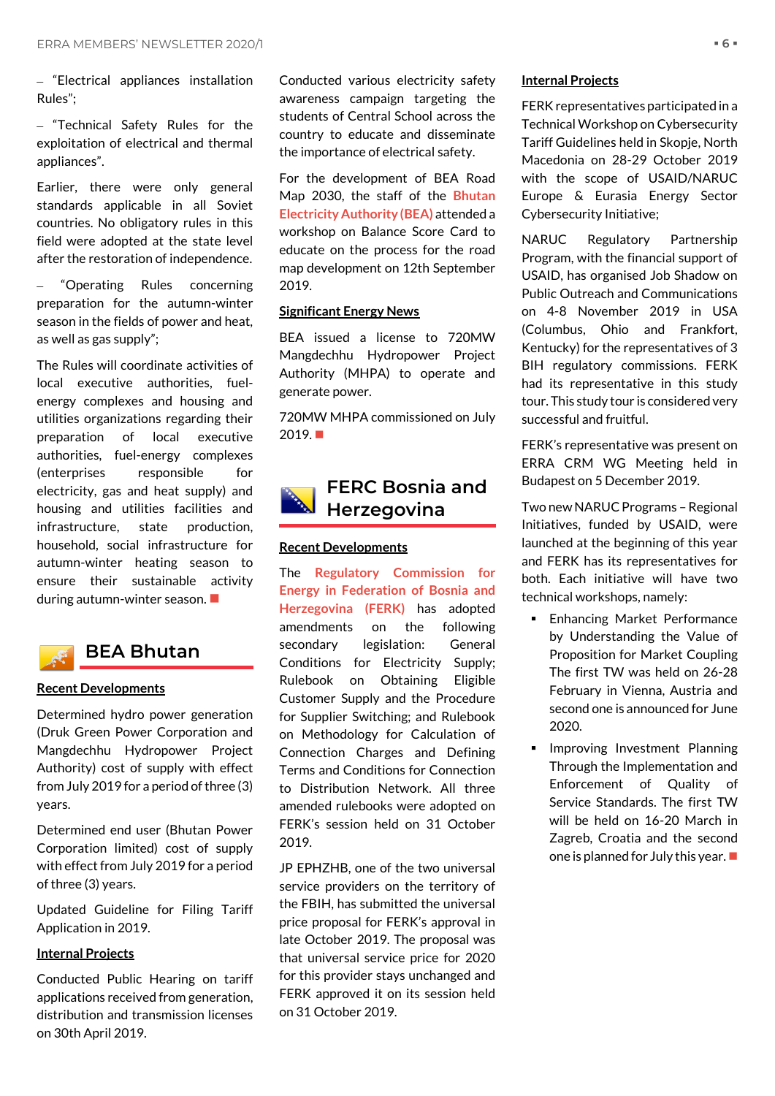– "Electrical appliances installation Rules";

– "Technical Safety Rules for the exploitation of electrical and thermal appliances".

Earlier, there were only general standards applicable in all Soviet countries. No obligatory rules in this field were adopted at the state level after the restoration of independence.

– "Operating Rules concerning preparation for the autumn-winter season in the fields of power and heat, as well as gas supply";

The Rules will coordinate activities of local executive authorities, fuelenergy complexes and housing and utilities organizations regarding their preparation of local executive authorities, fuel-energy complexes (enterprises responsible for electricity, gas and heat supply) and housing and utilities facilities and infrastructure, state production, household, social infrastructure for autumn-winter heating season to ensure their sustainable activity during autumn-winter season. ■



# <span id="page-5-0"></span>**BEA Bhutan**

# **Recent Developments**

Determined hydro power generation (Druk Green Power Corporation and Mangdechhu Hydropower Project Authority) cost of supply with effect from July 2019 for a period of three (3) years.

Determined end user (Bhutan Power Corporation limited) cost of supply with effect from July 2019 for a period of three (3) years.

Updated Guideline for Filing Tariff Application in 2019.

# **Internal Projects**

Conducted Public Hearing on tariff applications received from generation, distribution and transmission licenses on 30th April 2019.

Conducted various electricity safety awareness campaign targeting the students of Central School across the country to educate and disseminate the importance of electrical safety.

For the development of BEA Road Map 2030, the staff of the **Bhutan Electricity Authority (BEA)** attended a workshop on Balance Score Card to educate on the process for the road map development on 12th September 2019.

# **Significant Energy News**

BEA issued a license to 720MW Mangdechhu Hydropower Project Authority (MHPA) to operate and generate power.

720MW MHPA commissioned on July 2019.■

# <span id="page-5-1"></span>**FERC Bosnia and Herzegovina**

# **Recent Developments**

The **Regulatory Commission for Energy in Federation of Bosnia and Herzegovina (FERK)** has adopted amendments on the following secondary legislation: General Conditions for Electricity Supply; Rulebook on Obtaining Eligible Customer Supply and the Procedure for Supplier Switching; and Rulebook on Methodology for Calculation of Connection Charges and Defining Terms and Conditions for Connection to Distribution Network. All three amended rulebooks were adopted on FERK's session held on 31 October 2019.

JP EPHZHB, one of the two universal service providers on the territory of the FBIH, has submitted the universal price proposal for FERK's approval in late October 2019. The proposal was that universal service price for 2020 for this provider stays unchanged and FERK approved it on its session held on 31 October 2019.

# **Internal Projects**

FERK representatives participated in a Technical Workshop on Cybersecurity Tariff Guidelines held in Skopje, North Macedonia on 28-29 October 2019 with the scope of USAID/NARUC Europe & Eurasia Energy Sector Cybersecurity Initiative;

NARUC Regulatory Partnership Program, with the financial support of USAID, has organised Job Shadow on Public Outreach and Communications on 4-8 November 2019 in USA (Columbus, Ohio and Frankfort, Kentucky) for the representatives of 3 BIH regulatory commissions. FERK had its representative in this study tour. This study tour is considered very successful and fruitful.

FERK's representative was present on ERRA CRM WG Meeting held in Budapest on 5 December 2019.

Two new NARUC Programs - Regional Initiatives, funded by USAID, were launched at the beginning of this year and FERK has its representatives for both. Each initiative will have two technical workshops, namely:

- **Enhancing Market Performance** by Understanding the Value of Proposition for Market Coupling The first TW was held on 26-28 February in Vienna, Austria and second one is announced for June 2020.
- **•** Improving Investment Planning Through the Implementation and Enforcement of Quality of Service Standards. The first TW will be held on 16-20 March in Zagreb, Croatia and the second one is planned for July this year. ■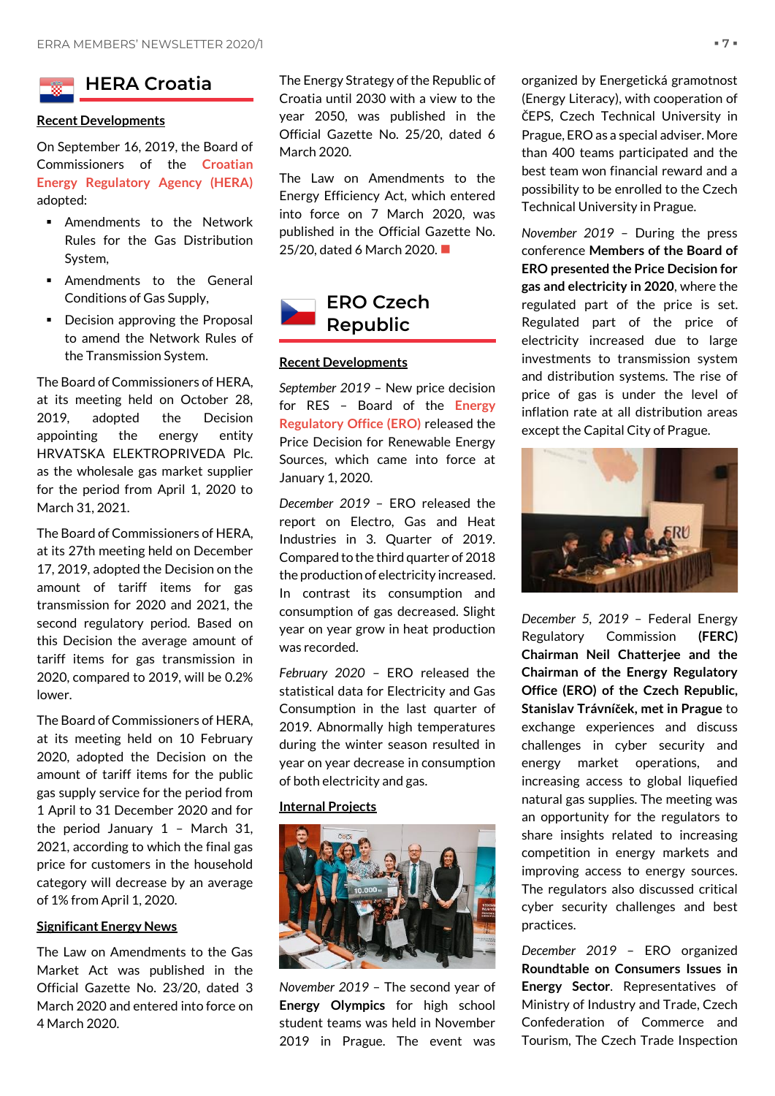<span id="page-6-0"></span>

# **Recent Developments**

On September 16, 2019, the Board of Commissioners of the **Croatian Energy Regulatory Agency (HERA)** adopted:

- **EXECUTE:** Amendments to the Network Rules for the Gas Distribution System,
- Amendments to the General Conditions of Gas Supply,
- Decision approving the Proposal to amend the Network Rules of the Transmission System.

The Board of Commissioners of HERA, at its meeting held on October 28, 2019, adopted the Decision appointing the energy entity HRVATSKA ELEKTROPRIVEDA Plc. as the wholesale gas market supplier for the period from April 1, 2020 to March 31, 2021.

The Board of Commissioners of HERA, at its 27th meeting held on December 17, 2019, adopted the Decision on the amount of tariff items for gas transmission for 2020 and 2021, the second regulatory period. Based on this Decision the average amount of tariff items for gas transmission in 2020, compared to 2019, will be 0.2% lower.

The Board of Commissioners of HERA, at its meeting held on 10 February 2020, adopted the Decision on the amount of tariff items for the public gas supply service for the period from 1 April to 31 December 2020 and for the period January 1 – March 31, 2021, according to which the final gas price for customers in the household category will decrease by an average of 1% from April 1, 2020.

# **Significant Energy News**

The Law on Amendments to the Gas Market Act was published in the Official Gazette No. 23/20, dated 3 March 2020 and entered into force on 4 March 2020.

The Energy Strategy of the Republic of Croatia until 2030 with a view to the year 2050, was published in the Official Gazette No. 25/20, dated 6 March 2020.

The Law on Amendments to the Energy Efficiency Act, which entered into force on 7 March 2020, was published in the Official Gazette No. 25/20, dated 6 March 2020. ■

<span id="page-6-1"></span>

# **Recent Developments**

*September 2019* – New price decision for RES – Board of the **Energy Regulatory Office (ERO)** released the Price Decision for Renewable Energy Sources, which came into force at January 1, 2020.

*December 2019* – ERO released the report on Electro, Gas and Heat Industries in 3. Quarter of 2019. Compared to the third quarter of 2018 the production of electricity increased. In contrast its consumption and consumption of gas decreased. Slight year on year grow in heat production was recorded.

*February 2020* – ERO released the statistical data for Electricity and Gas Consumption in the last quarter of 2019. Abnormally high temperatures during the winter season resulted in year on year decrease in consumption of both electricity and gas.

### **Internal Projects**



*November 2019* – The second year of **Energy Olympics** for high school student teams was held in November 2019 in Prague. The event was organized by Energetická gramotnost (Energy Literacy), with cooperation of ČEPS, Czech Technical University in Prague, ERO as a special adviser. More than 400 teams participated and the best team won financial reward and a possibility to be enrolled to the Czech Technical University in Prague.

*November 2019* – During the press conference **Members of the Board of ERO presented the Price Decision for gas and electricity in 2020**, where the regulated part of the price is set. Regulated part of the price of electricity increased due to large investments to transmission system and distribution systems. The rise of price of gas is under the level of inflation rate at all distribution areas except the Capital City of Prague.



*December 5, 2019* – Federal Energy Regulatory Commission **(FERC) Chairman Neil Chatterjee and the Chairman of the Energy Regulatory Office (ERO) of the Czech Republic, Stanislav Trávníček, met in Prague** to exchange experiences and discuss challenges in cyber security and energy market operations, and increasing access to global liquefied natural gas supplies. The meeting was an opportunity for the regulators to share insights related to increasing competition in energy markets and improving access to energy sources. The regulators also discussed critical cyber security challenges and best practices.

*December 2019* – ERO organized **Roundtable on Consumers Issues in Energy Sector**. Representatives of Ministry of Industry and Trade, Czech Confederation of Commerce and Tourism, The Czech Trade Inspection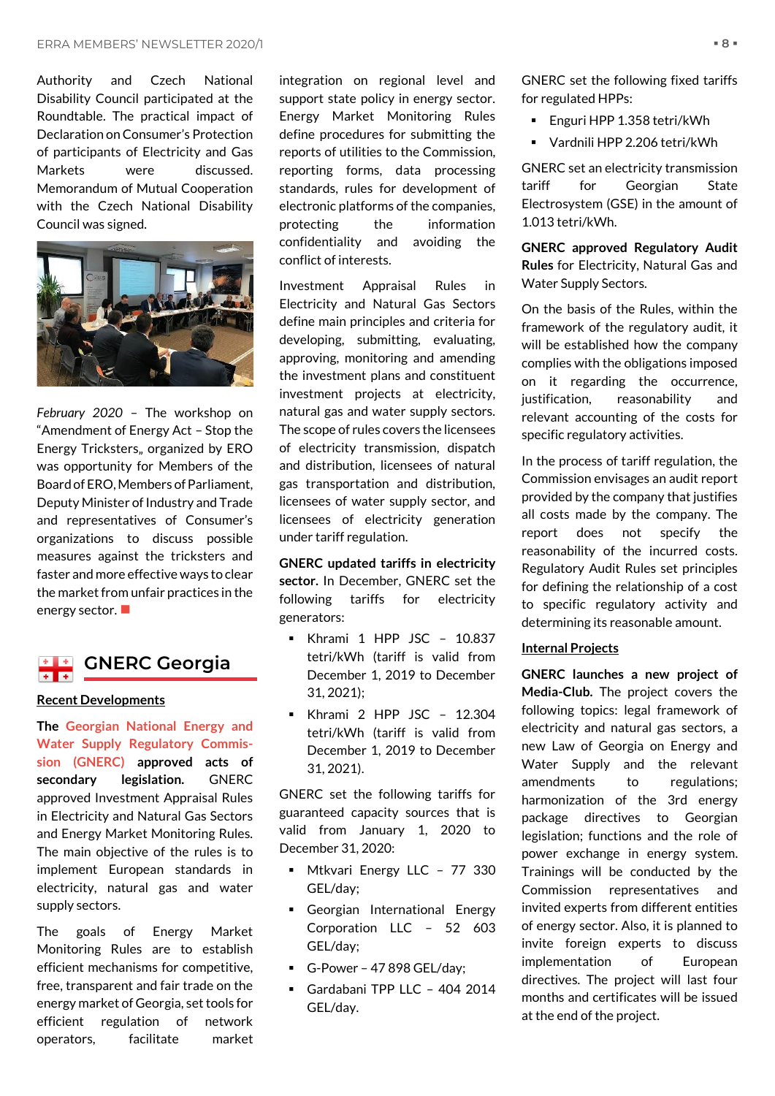Authority and Czech National Disability Council participated at the Roundtable. The practical impact of Declaration on Consumer's Protection of participants of Electricity and Gas Markets were discussed. Memorandum of Mutual Cooperation with the Czech National Disability Council was signed.



*February 2020* – The workshop on "Amendment of Energy Act – Stop the Energy Tricksters, organized by ERO was opportunity for Members of the Board of ERO, Members of Parliament, Deputy Minister of Industry and Trade and representatives of Consumer's organizations to discuss possible measures against the tricksters and faster and more effective ways to clear the market from unfair practices in the energy sector.

# <span id="page-7-0"></span>**ELE** GNERC Georgia  $+$   $+$

### **Recent Developments**

**The Georgian National Energy and Water Supply Regulatory Commission (GNERC) approved acts of secondary legislation.** GNERC approved Investment Appraisal Rules in Electricity and Natural Gas Sectors and Energy Market Monitoring Rules. The main objective of the rules is to implement European standards in electricity, natural gas and water supply sectors.

The goals of Energy Market Monitoring Rules are to establish efficient mechanisms for competitive, free, transparent and fair trade on the energy market of Georgia, set tools for efficient regulation of network operators, facilitate market

integration on regional level and support state policy in energy sector. Energy Market Monitoring Rules define procedures for submitting the reports of utilities to the Commission, reporting forms, data processing standards, rules for development of electronic platforms of the companies, protecting the information confidentiality and avoiding the conflict of interests.

Investment Appraisal Rules in Electricity and Natural Gas Sectors define main principles and criteria for developing, submitting, evaluating, approving, monitoring and amending the investment plans and constituent investment projects at electricity, natural gas and water supply sectors. The scope of rules covers the licensees of electricity transmission, dispatch and distribution, licensees of natural gas transportation and distribution, licensees of water supply sector, and licensees of electricity generation under tariff regulation.

**GNERC updated tariffs in electricity sector.** In December, GNERC set the following tariffs for electricity generators:

- Khrami 1 HPP JSC 10.837 tetri/kWh (tariff is valid from December 1, 2019 to December 31, 2021);
- Khrami 2 HPP JSC 12.304 tetri/kWh (tariff is valid from December 1, 2019 to December 31, 2021).

GNERC set the following tariffs for guaranteed capacity sources that is valid from January 1, 2020 to December 31, 2020:

- **■** Mtkvari Energy LLC 77 330 GEL/day;
- **•** Georgian International Energy Corporation LLC – 52 603 GEL/day;
- $\blacksquare$  G-Power 47 898 GEL/day;
- Gardabani TPP LLC 404 2014 GEL/day.

GNERC set the following fixed tariffs for regulated HPPs:

- Enguri HPP 1.358 tetri/kWh
- Vardnili HPP 2.206 tetri/kWh

GNERC set an electricity transmission tariff for Georgian State Electrosystem (GSE) in the amount of 1.013 tetri/kWh.

**GNERC approved Regulatory Audit Rules** for Electricity, Natural Gas and Water Supply Sectors.

On the basis of the Rules, within the framework of the regulatory audit, it will be established how the company complies with the obligations imposed on it regarding the occurrence, justification, reasonability and relevant accounting of the costs for specific regulatory activities.

In the process of tariff regulation, the Commission envisages an audit report provided by the company that justifies all costs made by the company. The report does not specify the reasonability of the incurred costs. Regulatory Audit Rules set principles for defining the relationship of a cost to specific regulatory activity and determining its reasonable amount.

# **Internal Projects**

**GNERC launches a new project of Media-Club.** The project covers the following topics: legal framework of electricity and natural gas sectors, a new Law of Georgia on Energy and Water Supply and the relevant amendments to regulations; harmonization of the 3rd energy package directives to Georgian legislation; functions and the role of power exchange in energy system. Trainings will be conducted by the Commission representatives and invited experts from different entities of energy sector. Also, it is planned to invite foreign experts to discuss implementation of European directives. The project will last four months and certificates will be issued at the end of the project.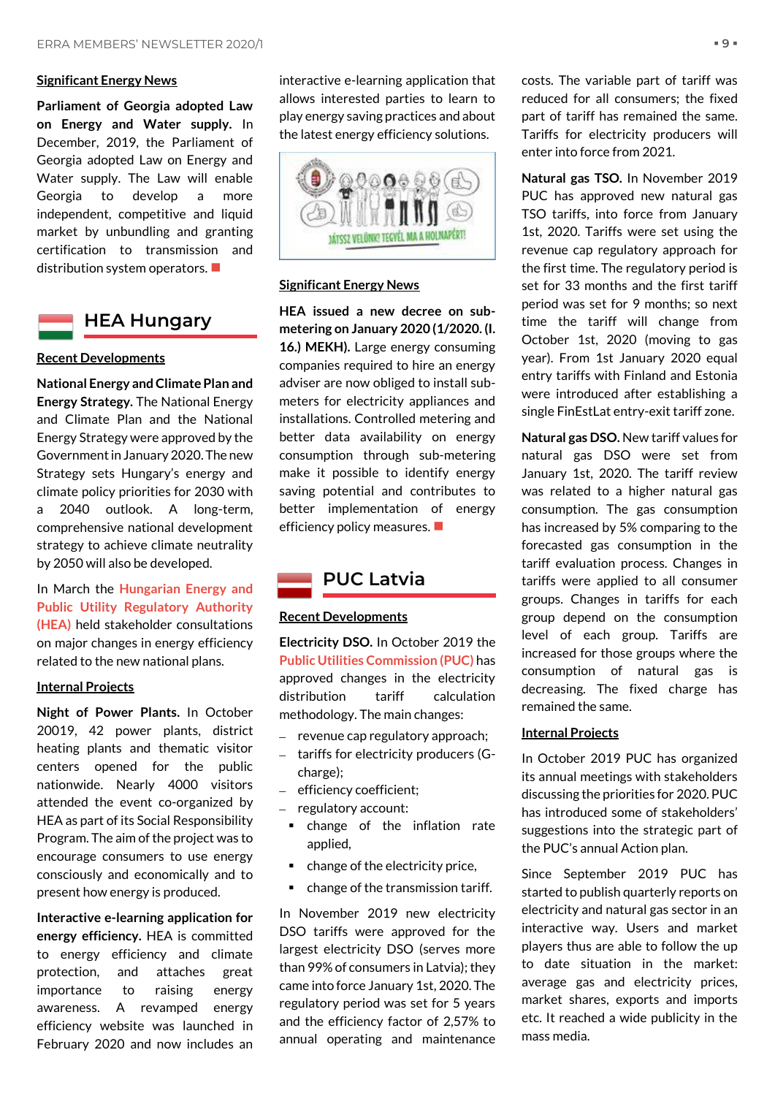# **Significant Energy News**

**Parliament of Georgia adopted Law on Energy and Water supply.** In December, 2019, the Parliament of Georgia adopted Law on Energy and Water supply. The Law will enable Georgia to develop a more independent, competitive and liquid market by unbundling and granting certification to transmission and distribution system operators. ■

<span id="page-8-0"></span>

**Recent Developments**

# **National Energy and Climate Plan and Energy Strategy.** The National Energy and Climate Plan and the National Energy Strategy were approved by the Government in January 2020. The new Strategy sets Hungary's energy and climate policy priorities for 2030 with a 2040 outlook. A long-term, comprehensive national development strategy to achieve climate neutrality by 2050 will also be developed.

In March the **Hungarian Energy and Public Utility Regulatory Authority (HEA)** held stakeholder consultations on major changes in energy efficiency related to the new national plans.

### **Internal Projects**

**Night of Power Plants.** In October 20019, 42 power plants, district heating plants and thematic visitor centers opened for the public nationwide. Nearly 4000 visitors attended the event co-organized by HEA as part of its Social Responsibility Program. The aim of the project was to encourage consumers to use energy consciously and economically and to present how energy is produced.

**Interactive e-learning application for energy efficiency.** HEA is committed to energy efficiency and climate protection, and attaches great importance to raising energy awareness. A revamped energy efficiency website was launched in February 2020 and now includes an interactive e-learning application that allows interested parties to learn to play energy saving practices and about the latest energy efficiency solutions.



# **Significant Energy News**

**HEA issued a new decree on submetering on January 2020 (1/2020. (I. 16.) MEKH).** Large energy consuming companies required to hire an energy adviser are now obliged to install submeters for electricity appliances and installations. Controlled metering and better data availability on energy consumption through sub-metering make it possible to identify energy saving potential and contributes to better implementation of energy efficiency policy measures. ■

# <span id="page-8-1"></span>**PUC Latvia**

# **Recent Developments**

**Electricity DSO.** In October 2019 the **Public Utilities Commission (PUC)** has approved changes in the electricity distribution tariff calculation methodology. The main changes:

- revenue cap regulatory approach;
- tariffs for electricity producers (Gcharge);
- efficiency coefficient;
- regulatory account:
- change of the inflation rate applied,
- change of the electricity price,
- change of the transmission tariff.

In November 2019 new electricity DSO tariffs were approved for the largest electricity DSO (serves more than 99% of consumers in Latvia); they came into force January 1st, 2020. The regulatory period was set for 5 years and the efficiency factor of 2,57% to annual operating and maintenance

costs. The variable part of tariff was reduced for all consumers; the fixed part of tariff has remained the same. Tariffs for electricity producers will enter into force from 2021.

**Natural gas TSO.** In November 2019 PUC has approved new natural gas TSO tariffs, into force from January 1st, 2020. Tariffs were set using the revenue cap regulatory approach for the first time. The regulatory period is set for 33 months and the first tariff period was set for 9 months; so next time the tariff will change from October 1st, 2020 (moving to gas year). From 1st January 2020 equal entry tariffs with Finland and Estonia were introduced after establishing a single FinEstLat entry-exit tariff zone.

**Natural gas DSO.** New tariff values for natural gas DSO were set from January 1st, 2020. The tariff review was related to a higher natural gas consumption. The gas consumption has increased by 5% comparing to the forecasted gas consumption in the tariff evaluation process. Changes in tariffs were applied to all consumer groups. Changes in tariffs for each group depend on the consumption level of each group. Tariffs are increased for those groups where the consumption of natural gas is decreasing. The fixed charge has remained the same.

# **Internal Projects**

In October 2019 PUC has organized its annual meetings with stakeholders discussing the priorities for 2020. PUC has introduced some of stakeholders' suggestions into the strategic part of the PUC's annual Action plan.

Since September 2019 PUC has started to publish quarterly reports on electricity and natural gas sector in an interactive way. Users and market players thus are able to follow the up to date situation in the market: average gas and electricity prices, market shares, exports and imports etc. It reached a wide publicity in the mass media.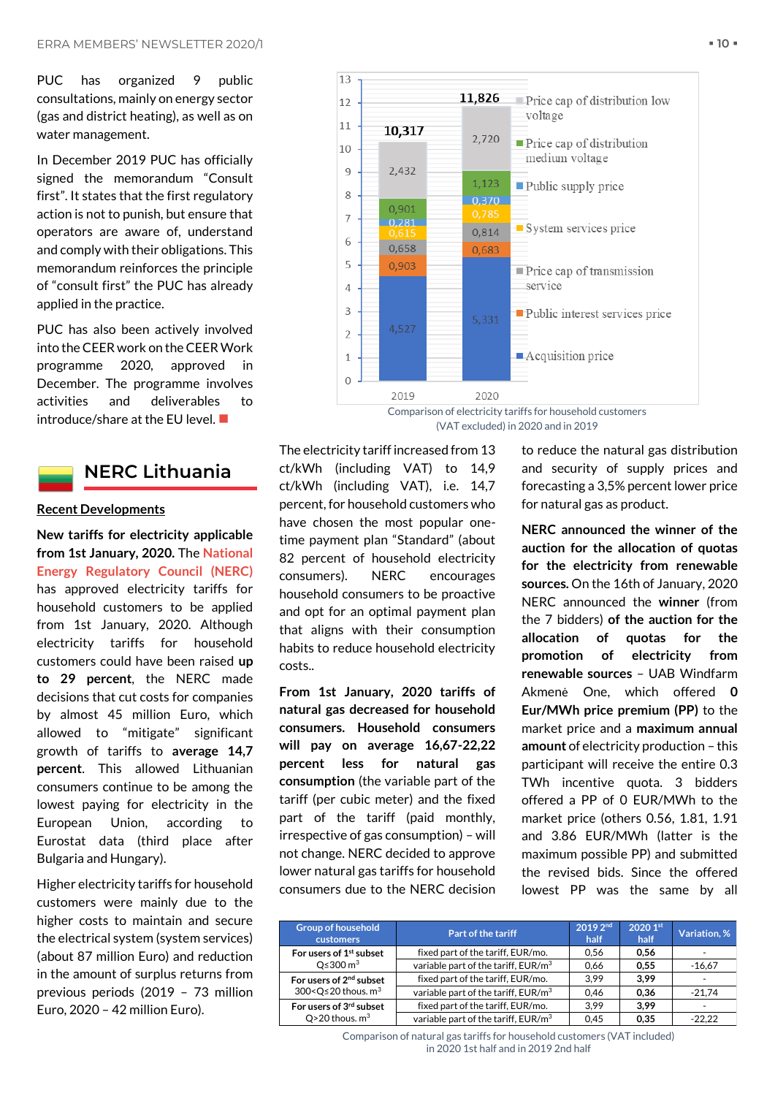PUC has organized 9 public consultations, mainly on energy sector (gas and district heating), as well as on water management.

In December 2019 PUC has officially signed the memorandum "Consult first". It states that the first regulatory action is not to punish, but ensure that operators are aware of, understand and comply with their obligations. This memorandum reinforces the principle of "consult first" the PUC has already applied in the practice.

PUC has also been actively involved into the CEER work on the CEER Work programme 2020, approved in December. The programme involves activities and deliverables to introduce/share at the EU level.  $\blacksquare$ 



# <span id="page-9-0"></span>**NERC Lithuania**

# **Recent Developments**

**New tariffs for electricity applicable from 1st January, 2020.** The **National Energy Regulatory Council (NERC)** has approved electricity tariffs for household customers to be applied from 1st January, 2020. Although electricity tariffs for household customers could have been raised **up to 29 percent**, the NERC made decisions that cut costs for companies by almost 45 million Euro, which allowed to "mitigate" significant growth of tariffs to **average 14,7 percent**. This allowed Lithuanian consumers continue to be among the lowest paying for electricity in the European Union, according to Eurostat data (third place after Bulgaria and Hungary).

Higher electricity tariffs for household customers were mainly due to the higher costs to maintain and secure the electrical system (system services) (about 87 million Euro) and reduction in the amount of surplus returns from previous periods (2019 – 73 million Euro, 2020 – 42 million Euro).



Comparison of electricity tariffs for household customers (VAT excluded) in 2020 and in 2019

The electricity tariff increased from 13 ct/kWh (including VAT) to 14,9 ct/kWh (including VAT), i.e. 14,7 percent, for household customers who have chosen the most popular onetime payment plan "Standard" (about 82 percent of household electricity consumers). NERC encourages household consumers to be proactive and opt for an optimal payment plan that aligns with their consumption habits to reduce household electricity costs..

**From 1st January, 2020 tariffs of natural gas decreased for household consumers. Household consumers will pay on average 16,67-22,22 percent less for natural gas consumption** (the variable part of the tariff (per cubic meter) and the fixed part of the tariff (paid monthly, irrespective of gas consumption) – will not change. NERC decided to approve lower natural gas tariffs for household consumers due to the NERC decision to reduce the natural gas distribution and security of supply prices and forecasting a 3,5% percent lower price for natural gas as product.

**NERC announced the winner of the auction for the allocation of quotas for the electricity from renewable sources.** On the 16th of January, 2020 NERC announced the **winner** (from the 7 bidders) **of the auction for the allocation of quotas for the promotion of electricity from renewable sources** – UAB Windfarm Akmenė One, which offered **0 Eur/MWh price premium (PP)** to the market price and a **maximum annual amount** of electricity production – this participant will receive the entire 0.3 TWh incentive quota. 3 bidders offered a PP of 0 EUR/MWh to the market price (others 0.56, 1.81, 1.91 and 3.86 EUR/MWh (latter is the maximum possible PP) and submitted the revised bids. Since the offered lowest PP was the same by all

| <b>Group of household</b><br><b>customers</b>                                | <b>Part of the tariff</b>                       | 2019 2nd<br>half | 2020 1st<br>half | Variation, % |
|------------------------------------------------------------------------------|-------------------------------------------------|------------------|------------------|--------------|
| For users of 1 <sup>st</sup> subset<br>$O \leq 300 \text{ m}^3$              | fixed part of the tariff, EUR/mo.               | 0.56             | 0.56             |              |
|                                                                              | variable part of the tariff, EUR/m <sup>3</sup> | 0.66             | 0.55             | $-16.67$     |
| For users of 2 <sup>nd</sup> subset<br>300< $Q \le 20$ thous. m <sup>3</sup> | fixed part of the tariff, EUR/mo.               | 3.99             | 3.99             |              |
|                                                                              | variable part of the tariff, EUR/m <sup>3</sup> | 0.46             | 0.36             | $-21.74$     |
| For users of 3rd subset<br>$Q > 20$ thous. $m3$                              | fixed part of the tariff, EUR/mo.               | 3.99             | 3.99             | ۰            |
|                                                                              | variable part of the tariff, EUR/m <sup>3</sup> | 0.45             | 0.35             | $-22.22$     |

Comparison of natural gas tariffs for household customers (VAT included) in 2020 1st half and in 2019 2nd half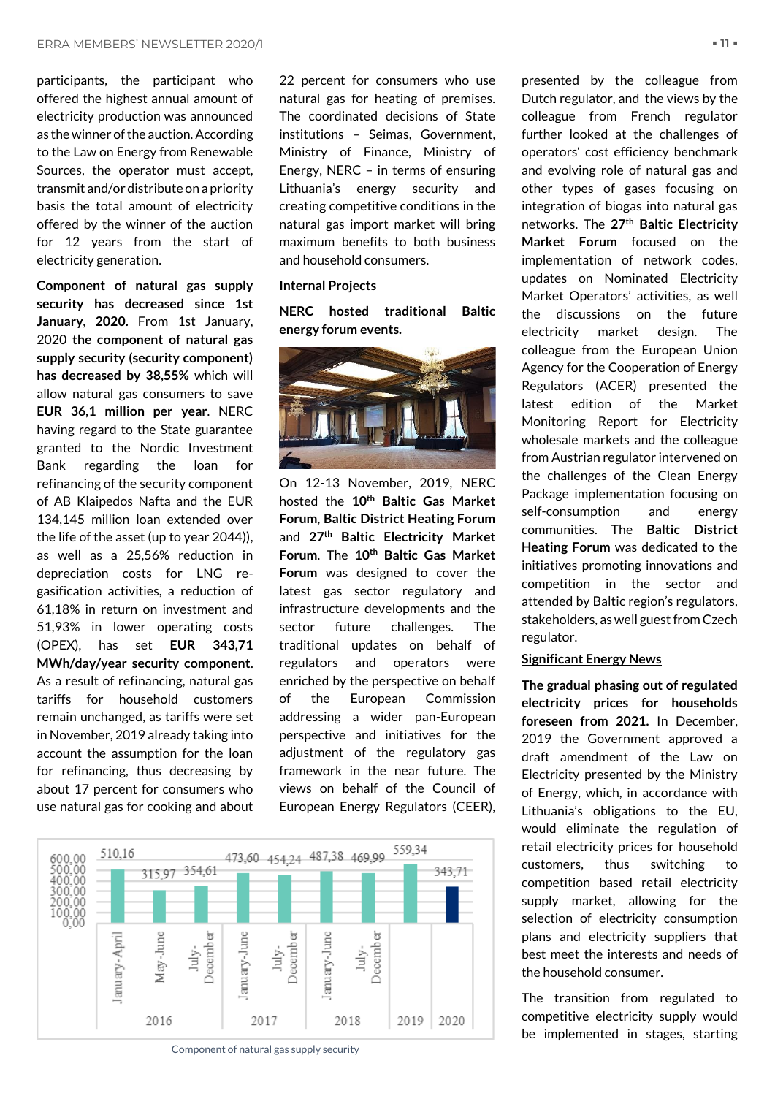participants, the participant who offered the highest annual amount of electricity production was announced as the winner of the auction. According to the Law on Energy from Renewable Sources, the operator must accept, transmit and/or distribute on a priority basis the total amount of electricity offered by the winner of the auction for 12 years from the start of electricity generation.

**Component of natural gas supply security has decreased since 1st January, 2020.** From 1st January, 2020 **the component of natural gas supply security (security component) has decreased by 38,55%** which will allow natural gas consumers to save **EUR 36,1 million per year**. NERC having regard to the State guarantee granted to the Nordic Investment Bank regarding the loan for refinancing of the security component of AB Klaipedos Nafta and the EUR 134,145 million loan extended over the life of the asset (up to year 2044)), as well as a 25,56% reduction in depreciation costs for LNG regasification activities, a reduction of 61,18% in return on investment and 51,93% in lower operating costs (OPEX), has set **EUR 343,71 MWh/day/year security component**. As a result of refinancing, natural gas tariffs for household customers remain unchanged, as tariffs were set in November, 2019 already taking into account the assumption for the loan for refinancing, thus decreasing by about 17 percent for consumers who use natural gas for cooking and about 22 percent for consumers who use natural gas for heating of premises. The coordinated decisions of State institutions – Seimas, Government, Ministry of Finance, Ministry of Energy, NERC – in terms of ensuring Lithuania's energy security and creating competitive conditions in the natural gas import market will bring maximum benefits to both business and household consumers.

# **Internal Projects**

**NERC hosted traditional Baltic energy forum events.**



On 12-13 November, 2019, NERC hosted the **10th Baltic Gas Market Forum**, **Baltic District Heating Forum**  and **27th Baltic Electricity Market Forum**. The **10th Baltic Gas Market Forum** was designed to cover the latest gas sector regulatory and infrastructure developments and the sector future challenges. The traditional updates on behalf of regulators and operators were enriched by the perspective on behalf of the European Commission addressing a wider pan-European perspective and initiatives for the adjustment of the regulatory gas framework in the near future. The views on behalf of the Council of European Energy Regulators (CEER),



Component of natural gas supply security

presented by the colleague from Dutch regulator, and the views by the colleague from French regulator further looked at the challenges of operators' cost efficiency benchmark and evolving role of natural gas and other types of gases focusing on integration of biogas into natural gas networks. The **27th Baltic Electricity Market Forum** focused on the implementation of network codes, updates on Nominated Electricity Market Operators' activities, as well the discussions on the future electricity market design. The colleague from the European Union Agency for the Cooperation of Energy Regulators (ACER) presented the latest edition of the Market Monitoring Report for Electricity wholesale markets and the colleague from Austrian regulator intervened on the challenges of the Clean Energy Package implementation focusing on self-consumption and energy communities. The **Baltic District Heating Forum** was dedicated to the initiatives promoting innovations and competition in the sector and attended by Baltic region's regulators, stakeholders, as well guest from Czech regulator.

# **Significant Energy News**

**The gradual phasing out of regulated electricity prices for households foreseen from 2021.** In December, 2019 the Government approved a draft amendment of the Law on Electricity presented by the Ministry of Energy, which, in accordance with Lithuania's obligations to the EU, would eliminate the regulation of retail electricity prices for household customers, thus switching to competition based retail electricity supply market, allowing for the selection of electricity consumption plans and electricity suppliers that best meet the interests and needs of the household consumer.

The transition from regulated to competitive electricity supply would be implemented in stages, starting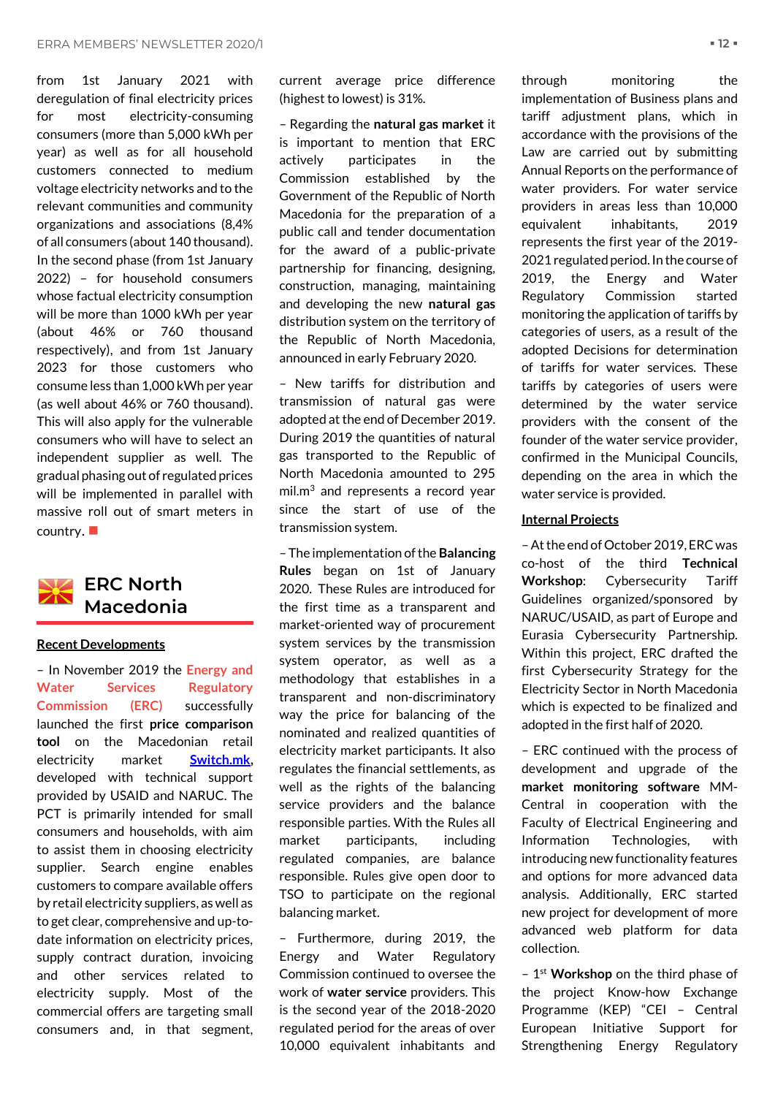from 1st January 2021 with deregulation of final electricity prices for most electricity-consuming consumers (more than 5,000 kWh per year) as well as for all household customers connected to medium voltage electricity networks and to the relevant communities and community organizations and associations (8,4% of all consumers (about 140 thousand). In the second phase (from 1st January 2022) – for household consumers whose factual electricity consumption will be more than 1000 kWh per year (about 46% or 760 thousand respectively), and from 1st January 2023 for those customers who consume less than 1,000 kWh per year (as well about 46% or 760 thousand). This will also apply for the vulnerable consumers who will have to select an independent supplier as well. The gradual phasing out of regulated prices will be implemented in parallel with massive roll out of smart meters in country.  $\blacksquare$ 

<span id="page-11-0"></span>

# **Recent Developments**

– In November 2019 the **Energy and Water Services Regulatory Commission (ERC)** successfully launched the first **price comparison tool** on the Macedonian retail electricity market **[Switch.mk,](https://switch.mk/#/)** developed with technical support provided by USAID and NARUC. The PCT is primarily intended for small consumers and households, with aim to assist them in choosing electricity supplier. Search engine enables customers to compare available offers by retail electricity suppliers, as well as to get clear, comprehensive and up-todate information on electricity prices, supply contract duration, invoicing and other services related to electricity supply. Most of the commercial offers are targeting small consumers and, in that segment,

current average price difference (highest to lowest) is 31%.

– Regarding the **natural gas market** it is important to mention that ERC actively participates in the Commission established by the Government of the Republic of North Macedonia for the preparation of a public call and tender documentation for the award of a public-private partnership for financing, designing, construction, managing, maintaining and developing the new **natural gas** distribution system on the territory of the Republic of North Macedonia, announced in early February 2020.

– New tariffs for distribution and transmission of natural gas were adopted at the end of December 2019. During 2019 the quantities of natural gas transported to the Republic of North Macedonia amounted to 295  $mil.m<sup>3</sup>$  and represents a record year since the start of use of the transmission system.

– The implementation of the **Balancing Rules** began on 1st of January 2020. These Rules are introduced for the first time as a transparent and market-oriented way of procurement system services by the transmission system operator, as well as a methodology that establishes in a transparent and non-discriminatory way the price for balancing of the nominated and realized quantities of electricity market participants. It also regulates the financial settlements, as well as the rights of the balancing service providers and the balance responsible parties. With the Rules all market participants, including regulated companies, are balance responsible. Rules give open door to TSO to participate on the regional balancing market.

– Furthermore, during 2019, the Energy and Water Regulatory Commission continued to oversee the work of **water service** providers. This is the second year of the 2018-2020 regulated period for the areas of over 10,000 equivalent inhabitants and

through monitoring the implementation of Business plans and tariff adjustment plans, which in accordance with the provisions of the Law are carried out by submitting Annual Reports on the performance of water providers. For water service providers in areas less than 10,000 equivalent inhabitants, 2019 represents the first year of the 2019- 2021 regulated period. In the course of 2019, the Energy and Water Regulatory Commission started monitoring the application of tariffs by categories of users, as a result of the adopted Decisions for determination of tariffs for water services. These tariffs by categories of users were determined by the water service providers with the consent of the founder of the water service provider, confirmed in the Municipal Councils, depending on the area in which the water service is provided.

# **Internal Projects**

–At the end of October 2019, ERC was co-host of the third **Technical Workshop**: Cybersecurity Tariff Guidelines organized/sponsored by NARUC/USAID, as part of Europe and Eurasia Cybersecurity Partnership. Within this project, ERC drafted the first Cybersecurity Strategy for the Electricity Sector in North Macedonia which is expected to be finalized and adopted in the first half of 2020.

– ERC continued with the process of development and upgrade of the **market monitoring software** MM-Central in cooperation with the Faculty of Electrical Engineering and Information Technologies, with introducing new functionality features and options for more advanced data analysis. Additionally, ERC started new project for development of more advanced web platform for data collection.

– 1 st **Workshop** on the third phase of the project Know-how Exchange Programme (KEP) "CEI – Central European Initiative Support for Strengthening Energy Regulatory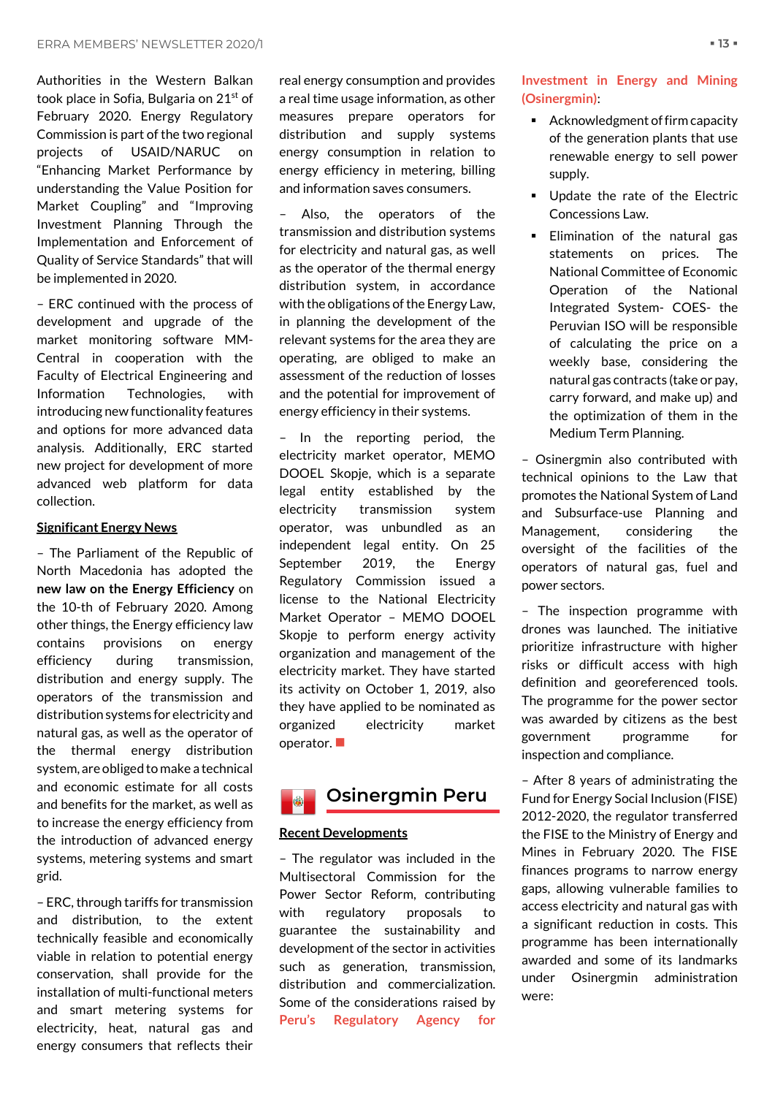Authorities in the Western Balkan took place in Sofia, Bulgaria on 21st of February 2020. Energy Regulatory Commission is part of the two regional projects of USAID/NARUC on "Enhancing Market Performance by understanding the Value Position for Market Coupling" and "Improving Investment Planning Through the Implementation and Enforcement of Quality of Service Standards" that will be implemented in 2020.

– ERC continued with the process of development and upgrade of the market monitoring software MM-Central in cooperation with the Faculty of Electrical Engineering and Information Technologies, with introducing new functionality features and options for more advanced data analysis. Additionally, ERC started new project for development of more advanced web platform for data collection.

# **Significant Energy News**

– The Parliament of the Republic of North Macedonia has adopted the **new law on the Energy Efficiency** on the 10-th of February 2020. Among other things, the Energy efficiency law contains provisions on energy efficiency during transmission, distribution and energy supply. The operators of the transmission and distribution systems for electricity and natural gas, as well as the operator of the thermal energy distribution system, are obliged to make a technical and economic estimate for all costs and benefits for the market, as well as to increase the energy efficiency from the introduction of advanced energy systems, metering systems and smart grid.

– ERC, through tariffs for transmission and distribution, to the extent technically feasible and economically viable in relation to potential energy conservation, shall provide for the installation of multi-functional meters and smart metering systems for electricity, heat, natural gas and energy consumers that reflects their real energy consumption and provides a real time usage information, as other measures prepare operators for distribution and supply systems energy consumption in relation to energy efficiency in metering, billing and information saves consumers.

– Also, the operators of the transmission and distribution systems for electricity and natural gas, as well as the operator of the thermal energy distribution system, in accordance with the obligations of the Energy Law, in planning the development of the relevant systems for the area they are operating, are obliged to make an assessment of the reduction of losses and the potential for improvement of energy efficiency in their systems.

– In the reporting period, the electricity market operator, MEMO DOOEL Skopje, which is a separate legal entity established by the electricity transmission system operator, was unbundled as an independent legal entity. On 25 September 2019, the Energy Regulatory Commission issued a license to the National Electricity Market Operator – MEMO DOOEL Skopje to perform energy activity organization and management of the electricity market. They have started its activity on October 1, 2019, also they have applied to be nominated as organized electricity market operator.  $\blacksquare$ 



# <span id="page-12-0"></span>**Recent Developments**

– The regulator was included in the Multisectoral Commission for the Power Sector Reform, contributing with regulatory proposals to guarantee the sustainability and development of the sector in activities such as generation, transmission, distribution and commercialization. Some of the considerations raised by **Peru's Regulatory Agency for** 

**Investment in Energy and Mining (Osinergmin)**:

- Acknowledgment of firm capacity of the generation plants that use renewable energy to sell power supply.
- Update the rate of the Electric Concessions Law.
- **Elimination of the natural gas** statements on prices. The National Committee of Economic Operation of the National Integrated System- COES- the Peruvian ISO will be responsible of calculating the price on a weekly base, considering the natural gas contracts (take or pay, carry forward, and make up) and the optimization of them in the Medium Term Planning.

– Osinergmin also contributed with technical opinions to the Law that promotes the National System of Land and Subsurface-use Planning and Management, considering the oversight of the facilities of the operators of natural gas, fuel and power sectors.

– The inspection programme with drones was launched. The initiative prioritize infrastructure with higher risks or difficult access with high definition and georeferenced tools. The programme for the power sector was awarded by citizens as the best government programme for inspection and compliance.

– After 8 years of administrating the Fund for Energy Social Inclusion (FISE) 2012-2020, the regulator transferred the FISE to the Ministry of Energy and Mines in February 2020. The FISE finances programs to narrow energy gaps, allowing vulnerable families to access electricity and natural gas with a significant reduction in costs. This programme has been internationally awarded and some of its landmarks under Osinergmin administration were: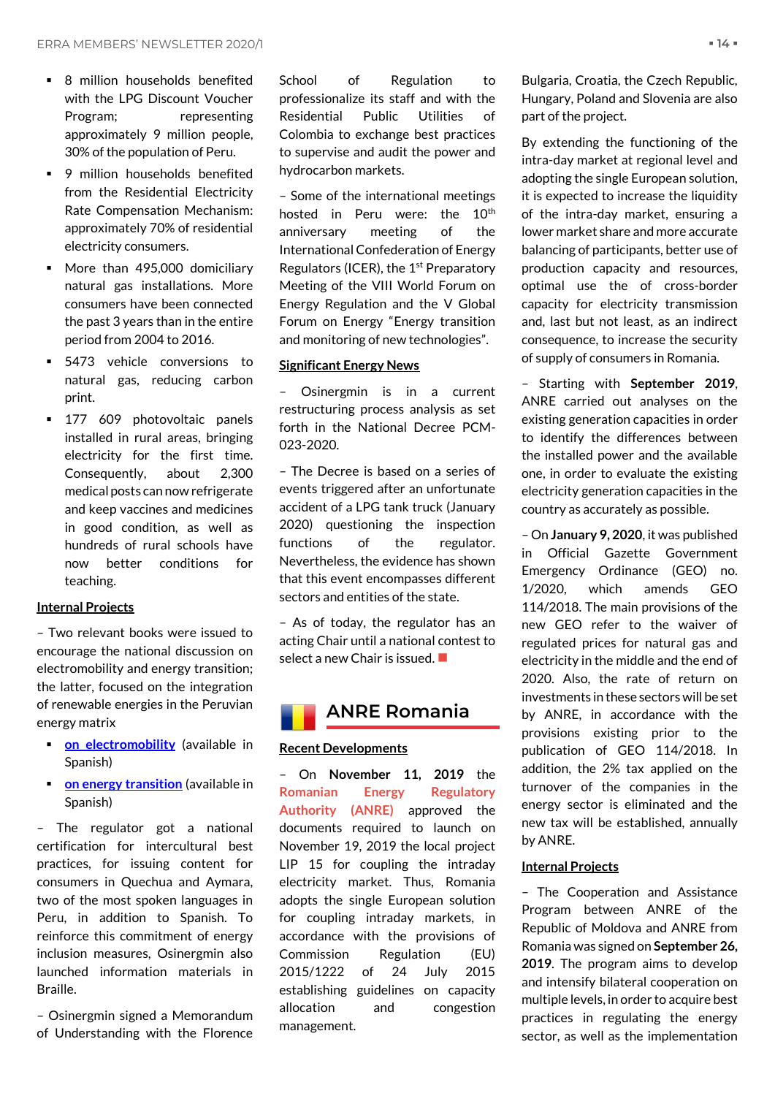- **■** 8 million households benefited with the LPG Discount Voucher Program; representing approximately 9 million people, 30% of the population of Peru.
- **•** 9 million households benefited from the Residential Electricity Rate Compensation Mechanism: approximately 70% of residential electricity consumers.
- More than 495,000 domiciliary natural gas installations. More consumers have been connected the past 3 years than in the entire period from 2004 to 2016.
- 5473 vehicle conversions to natural gas, reducing carbon print.
- 177 609 photovoltaic panels installed in rural areas, bringing electricity for the first time. Consequently, about 2,300 medical posts can now refrigerate and keep vaccines and medicines in good condition, as well as hundreds of rural schools have now better conditions for teaching.

# **Internal Projects**

– Two relevant books were issued to encourage the national discussion on electromobility and energy transition; the latter, focused on the integration of renewable energies in the Peruvian energy matrix

- **<u>[on electromobility](https://www.osinergmin.gob.pe/seccion/centro_documental/Institucional/Estudios_Economicos/Libros/Osinergmin-Electromovilidad-conceptos-politicas-lecciones-aprendidas-para-el-Peru.pdf)</u>** (available in Spanish)
- **<u>If [on energy transition](https://www.osinergmin.gob.pe/seccion/centro_documental/Institucional/Estudios_Economicos/Libros/Osinergmin-Energias-Renovables-Experiencia-Perspectivas.pdf)</u>** (available in Spanish)

– The regulator got a national certification for intercultural best practices, for issuing content for consumers in Quechua and Aymara, two of the most spoken languages in Peru, in addition to Spanish. To reinforce this commitment of energy inclusion measures, Osinergmin also launched information materials in Braille.

– Osinergmin signed a Memorandum of Understanding with the Florence School of Regulation to professionalize its staff and with the Residential Public Utilities of Colombia to exchange best practices to supervise and audit the power and hydrocarbon markets.

– Some of the international meetings hosted in Peru were: the 10<sup>th</sup> anniversary meeting of the International Confederation of Energy Regulators (ICER), the  $1<sup>st</sup>$  Preparatory Meeting of the VIII World Forum on Energy Regulation and the V Global Forum on Energy "Energy transition and monitoring of new technologies".

# **Significant Energy News**

– Osinergmin is in a current restructuring process analysis as set forth in the National Decree PCM-023-2020.

– The Decree is based on a series of events triggered after an unfortunate accident of a LPG tank truck (January 2020) questioning the inspection functions of the regulator. Nevertheless, the evidence has shown that this event encompasses different sectors and entities of the state.

– As of today, the regulator has an acting Chair until a national contest to select a new Chair is issued. ■

<span id="page-13-0"></span>

# **Recent Developments**

– On **November 11, 2019** the **Romanian Energy Regulatory Authority (ANRE)** approved the documents required to launch on November 19, 2019 the local project LIP 15 for coupling the intraday electricity market. Thus, Romania adopts the single European solution for coupling intraday markets, in accordance with the provisions of Commission Regulation (EU) 2015/1222 of 24 July 2015 establishing guidelines on capacity allocation and congestion management.

Bulgaria, Croatia, the Czech Republic, Hungary, Poland and Slovenia are also part of the project.

By extending the functioning of the intra-day market at regional level and adopting the single European solution, it is expected to increase the liquidity of the intra-day market, ensuring a lower market share and more accurate balancing of participants, better use of production capacity and resources, optimal use the of cross-border capacity for electricity transmission and, last but not least, as an indirect consequence, to increase the security of supply of consumers in Romania.

– Starting with **September 2019**, ANRE carried out analyses on the existing generation capacities in order to identify the differences between the installed power and the available one, in order to evaluate the existing electricity generation capacities in the country as accurately as possible.

– On **January 9, 2020**, it was published in Official Gazette Government Emergency Ordinance (GEO) no. 1/2020, which amends GEO 114/2018. The main provisions of the new GEO refer to the waiver of regulated prices for natural gas and electricity in the middle and the end of 2020. Also, the rate of return on investments in these sectors will be set by ANRE, in accordance with the provisions existing prior to the publication of GEO 114/2018. In addition, the 2% tax applied on the turnover of the companies in the energy sector is eliminated and the new tax will be established, annually by ANRE.

# **Internal Projects**

– The Cooperation and Assistance Program between ANRE of the Republic of Moldova and ANRE from Romania was signed on **September 26, 2019**. The program aims to develop and intensify bilateral cooperation on multiple levels, in order to acquire best practices in regulating the energy sector, as well as the implementation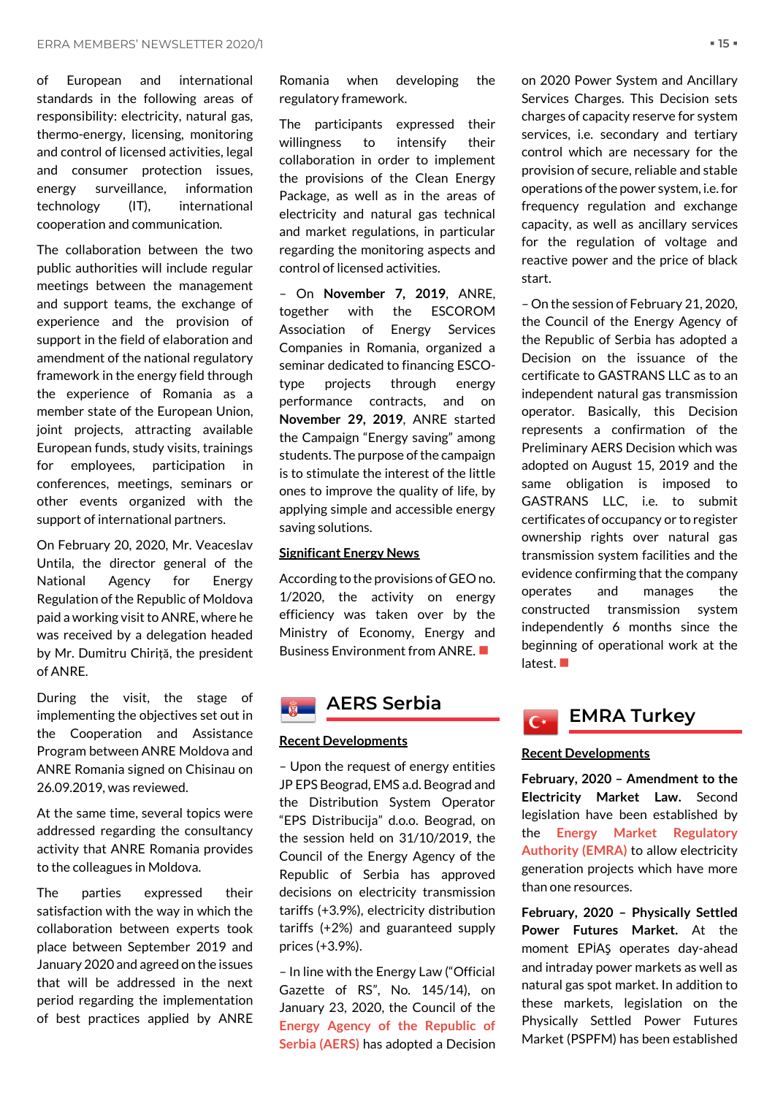of European and international standards in the following areas of responsibility: electricity, natural gas, thermo-energy, licensing, monitoring and control of licensed activities, legal and consumer protection issues, energy surveillance, information technology (IT), international cooperation and communication.

The collaboration between the two public authorities will include regular meetings between the management and support teams, the exchange of experience and the provision of support in the field of elaboration and amendment of the national regulatory framework in the energy field through the experience of Romania as a member state of the European Union, joint projects, attracting available European funds, study visits, trainings for employees, participation in conferences, meetings, seminars or other events organized with the support of international partners.

On February 20, 2020, Mr. Veaceslav Untila, the director general of the National Agency for Energy Regulation of the Republic of Moldova paid a working visit to ANRE, where he was received by a delegation headed by Mr. Dumitru Chiriță, the president of ANRE.

During the visit, the stage of implementing the objectives set out in the Cooperation and Assistance Program between ANRE Moldova and ANRE Romania signed on Chisinau on 26.09.2019, was reviewed.

At the same time, several topics were addressed regarding the consultancy activity that ANRE Romania provides to the colleagues in Moldova.

The parties expressed their satisfaction with the way in which the collaboration between experts took place between September 2019 and January 2020 and agreed on the issues that will be addressed in the next period regarding the implementation of best practices applied by ANRE

Romania when developing the regulatory framework.

The participants expressed their willingness to intensify their collaboration in order to implement the provisions of the Clean Energy Package, as well as in the areas of electricity and natural gas technical and market regulations, in particular regarding the monitoring aspects and control of licensed activities.

– On **November 7, 2019**, ANRE, together with the ESCOROM Association of Energy Services Companies in Romania, organized a seminar dedicated to financing ESCOtype projects through energy performance contracts, and on **November 29, 2019**, ANRE started the Campaign "Energy saving" among students. The purpose of the campaign is to stimulate the interest of the little ones to improve the quality of life, by applying simple and accessible energy saving solutions.

# **Significant Energy News**

According to the provisions of GEO no. 1/2020, the activity on energy efficiency was taken over by the Ministry of Economy, Energy and Business Environment from ANRE.

# <span id="page-14-0"></span>**AERS Serbia**

# **Recent Developments**

– Upon the request of energy entities JP EPS Beograd, EMS a.d. Beograd and the Distribution System Operator "EPS Distribucija" d.o.o. Beograd, on the session held on 31/10/2019, the Council of the Energy Agency of the Republic of Serbia has approved decisions on electricity transmission tariffs (+3.9%), electricity distribution tariffs (+2%) and guaranteed supply prices (+3.9%).

– In line with the Energy Law ("Official Gazette of RS", No. 145/14), on January 23, 2020, the Council of the **Energy Agency of the Republic of Serbia (AERS)** has adopted a Decision

on 2020 Power System and Ancillary Services Charges. This Decision sets charges of capacity reserve for system services, i.e. secondary and tertiary control which are necessary for the provision of secure, reliable and stable operations of the power system, i.e. for frequency regulation and exchange capacity, as well as ancillary services for the regulation of voltage and reactive power and the price of black start.

– On the session of February 21, 2020, the Council of the Energy Agency of the Republic of Serbia has adopted a Decision on the issuance of the certificate to GASTRANS LLC as to an independent natural gas transmission operator. Basically, this Decision represents a confirmation of the Preliminary AERS Decision which was adopted on August 15, 2019 and the same obligation is imposed to GASTRANS LLC, i.e. to submit certificates of occupancy or to register ownership rights over natural gas transmission system facilities and the evidence confirming that the company operates and manages the constructed transmission system independently 6 months since the beginning of operational work at the latest. ■

<span id="page-14-1"></span>

# **Recent Developments**

**February, 2020 – Amendment to the Electricity Market Law.** Second legislation have been established by the **Energy Market Regulatory Authority (EMRA)** to allow electricity generation projects which have more than one resources.

**February, 2020 – Physically Settled Power Futures Market.** At the moment EPİAŞ operates day-ahead and intraday power markets as well as natural gas spot market. In addition to these markets, legislation on the Physically Settled Power Futures Market (PSPFM) has been established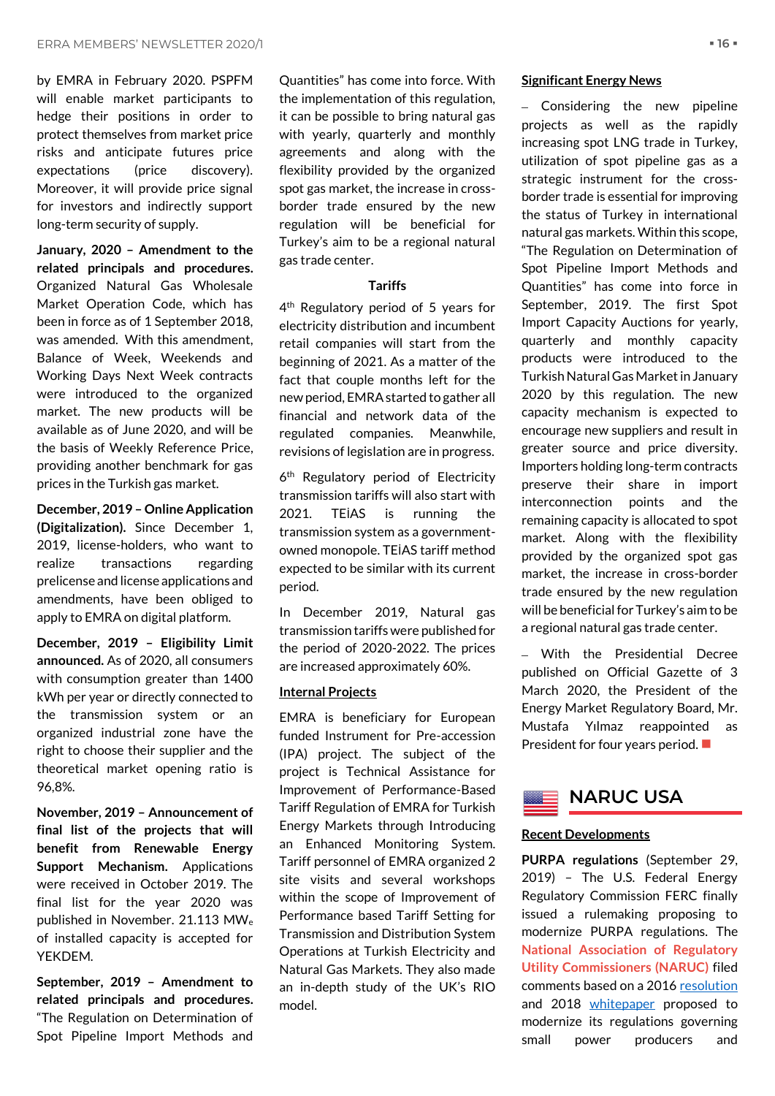by EMRA in February 2020. PSPFM will enable market participants to hedge their positions in order to protect themselves from market price risks and anticipate futures price expectations (price discovery). Moreover, it will provide price signal for investors and indirectly support long-term security of supply.

**January, 2020 – Amendment to the related principals and procedures.**  Organized Natural Gas Wholesale Market Operation Code, which has been in force as of 1 September 2018, was amended. With this amendment, Balance of Week, Weekends and Working Days Next Week contracts were introduced to the organized market. The new products will be available as of June 2020, and will be the basis of Weekly Reference Price, providing another benchmark for gas prices in the Turkish gas market.

**December, 2019 – Online Application (Digitalization).** Since December 1, 2019, license-holders, who want to realize transactions regarding prelicense and license applications and amendments, have been obliged to apply to EMRA on digital platform.

**December, 2019 – Eligibility Limit announced.** As of 2020, all consumers with consumption greater than 1400 kWh per year or directly connected to the transmission system or an organized industrial zone have the right to choose their supplier and the theoretical market opening ratio is 96,8%.

**November, 2019 – Announcement of final list of the projects that will benefit from Renewable Energy Support Mechanism.** Applications were received in October 2019. The final list for the year 2020 was published in November. 21.113 MW<sup>e</sup> of installed capacity is accepted for YEKDEM.

**September, 2019 – Amendment to related principals and procedures.**  "The Regulation on Determination of Spot Pipeline Import Methods and

Quantities" has come into force. With the implementation of this regulation, it can be possible to bring natural gas with yearly, quarterly and monthly agreements and along with the flexibility provided by the organized spot gas market, the increase in crossborder trade ensured by the new regulation will be beneficial for Turkey's aim to be a regional natural gas trade center.

### **Tariffs**

4<sup>th</sup> Regulatory period of 5 years for electricity distribution and incumbent retail companies will start from the beginning of 2021. As a matter of the fact that couple months left for the new period, EMRA started to gather all financial and network data of the regulated companies. Meanwhile, revisions of legislation are in progress.

6<sup>th</sup> Regulatory period of Electricity transmission tariffs will also start with 2021. TEİAS is running the transmission system as a governmentowned monopole. TEİAS tariff method expected to be similar with its current period.

In December 2019, Natural gas transmission tariffs were published for the period of 2020-2022. The prices are increased approximately 60%.

# **Internal Projects**

EMRA is beneficiary for European funded Instrument for Pre-accession (IPA) project. The subject of the project is Technical Assistance for Improvement of Performance-Based Tariff Regulation of EMRA for Turkish Energy Markets through Introducing an Enhanced Monitoring System. Tariff personnel of EMRA organized 2 site visits and several workshops within the scope of Improvement of Performance based Tariff Setting for Transmission and Distribution System Operations at Turkish Electricity and Natural Gas Markets. They also made an in-depth study of the UK's RIO model.

### **Significant Energy News**

– Considering the new pipeline projects as well as the rapidly increasing spot LNG trade in Turkey, utilization of spot pipeline gas as a strategic instrument for the crossborder trade is essential for improving the status of Turkey in international natural gas markets. Within this scope, "The Regulation on Determination of Spot Pipeline Import Methods and Quantities" has come into force in September, 2019. The first Spot Import Capacity Auctions for yearly, quarterly and monthly capacity products were introduced to the Turkish Natural Gas Market in January 2020 by this regulation. The new capacity mechanism is expected to encourage new suppliers and result in greater source and price diversity. Importers holding long-term contracts preserve their share in import interconnection points and the remaining capacity is allocated to spot market. Along with the flexibility provided by the organized spot gas market, the increase in cross-border trade ensured by the new regulation will be beneficial for Turkey's aim to be a regional natural gas trade center.

– With the Presidential Decree published on Official Gazette of 3 March 2020, the President of the Energy Market Regulatory Board, Mr. Mustafa Yılmaz reappointed as President for four years period. ■

<span id="page-15-0"></span>

## **Recent Developments**

**PURPA regulations** (September 29, 2019) – The U.S. Federal Energy Regulatory Commission FERC finally issued a rulemaking proposing to modernize PURPA regulations. The **National Association of Regulatory Utility Commissioners (NARUC)** filed comments based on a 2016 [resolution](https://pubs.naruc.org/pub.cfm?id=2E819F07-EA90-6910-0CEC-8A08E97AD73D) and 2018 [whitepaper](https://pubs.naruc.org/pub.cfm?id=E265148B-C5CF-206F-514B-1575A998A847) proposed to modernize its regulations governing small power producers and